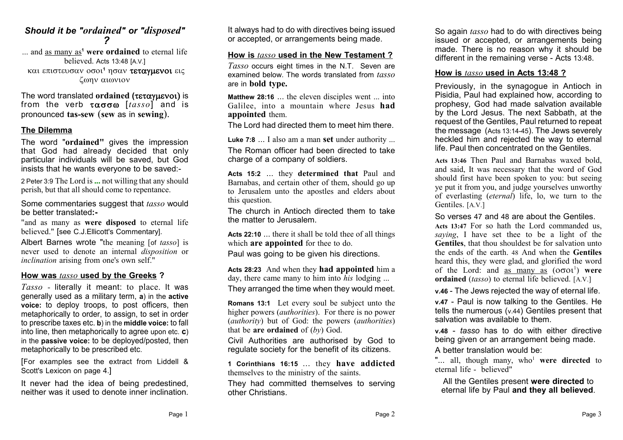## *Should it be "ordained" or "disposed" ?*

... and as many as**<sup>1</sup> were ordained** to eternal life believed. Acts 13:48 [A.V.] *και επιστευσαν οσοι<sup>1</sup> ησαν τεταγμενοι εις* ζωην αιώνιον

The word translated ordained (τεταγμενοι) is from the verb  $\tau\alpha\sigma\sigma\omega$  [*tasso*] and is pronounced **tas-sew** (**sew** as in **sewing**).

### **The Dilemma**

The word "**ordained"** gives the impression that God had already decided that only particular individuals will be saved, but God insists that he wants everyone to be saved:-

2 Peter 3:9 The Lord is **...** not willing that any should perish, but that all should come to repentance.

Some commentaries suggest that *tasso* would be better translated**:-**

"and as many as **were disposed** to eternal life believed." [see C.J.Ellicott's Commentary].

Albert Barnes wrote "the meaning [of *tasso*] is never used to denote an internal *disposition* or *inclination* arising from one's own self."

#### **How was** *tasso* **used by the Greeks ?**

*Tasso* - literally it meant: to place. It was generally used as a military term, **a**) in the **active voice:** to deploy troops, to post officers, then metaphorically to order, to assign, to set in order to prescribe taxes etc. **b**) in the **middle voice:** to fall into line, then metaphorically to agree upon etc. **c**) in the **passive voice:** to be deployed/posted, then metaphorically to be prescribed etc.

[For examples see the extract from Liddell & Scott's Lexicon on page 4.]

It never had the idea of being predestined, neither was it used to denote inner inclination. It always had to do with directives being issued or accepted, or arrangements being made.

#### **How is** *tasso* **used in the New Testament ?**

*Tasso* occurs eight times in the N.T. Seven are examined below. The words translated from *tasso* are in **bold type.**

**Matthew 28:16** ... the eleven disciples went ... into Galilee, into a mountain where Jesus **had appointed** them.

The Lord had directed them to meet him there.

**Luke 7:8** ... I also am a man **set** under authority ... The Roman officer had been directed to take charge of a company of soldiers.

**Acts 15:2** ... they **determined that** Paul and Barnabas, and certain other of them, should go up to Jerusalem unto the apostles and elders about this question.

The church in Antioch directed them to take the matter to Jerusalem.

**Acts 22:10** ... there it shall be told thee of all things which **are appointed** for thee to do. Paul was going to be given his directions.

**Acts 28:23** And when they **had appointed** him a day, there came many to him into *his* lodging ...

They arranged the time when they would meet.

**Romans 13:1** Let every soul be subject unto the higher powers (*authorities*). For there is no power (*authority*) but of God: the powers (*authorities*) that be **are ordained** of (*by*) God.

Civil Authorities are authorised by God to regulate society for the benefit of its citizens.

**1 Corinthians 16:15** ... they **have addicted** themselves to the ministry of the saints.

They had committed themselves to serving other Christians.

So again *tasso* had to do with directives being issued or accepted, or arrangements being made. There is no reason why it should be different in the remaining verse - Acts 13:48.

#### **How is** *tasso* **used in Acts 13:48 ?**

Previously, in the synagogue in Antioch in Pisidia, Paul had explained how, according to prophesy, God had made salvation available by the Lord Jesus. The next Sabbath, at the request of the Gentiles, Paul returned to repeat the message (Acts 13:14-45). The Jews severely heckled him and rejected the way to eternal life. Paul then concentrated on the Gentiles.

**Acts 13:46** Then Paul and Barnabas waxed bold, and said, It was necessary that the word of God should first have been spoken to you: but seeing ye put it from you, and judge yourselves unworthy of everlasting (*eternal*) life, lo, we turn to the Gentiles. [A.V.]

So verses 47 and 48 are about the Gentiles.

**Acts 13:47** For so hath the Lord commanded us, *saying*, I have set thee to be a light of the **Gentiles**, that thou shouldest be for salvation unto the ends of the earth. 48 And when the **Gentiles** heard this, they were glad, and glorified the word of the Lord: and <u>as many as</u>  $(0001)$  were **ordained** (*tasso*) to eternal life believed. [A.V.]

**v.46** - The Jews rejected the way of eternal life.

**v.47** - Paul is now talking to the Gentiles. He tells the numerous (v.44) Gentiles present that salvation was available to them.

**v.48** - *tasso* has to do with either directive being given or an arrangement being made. A better translation would be:

"... all, though many, who<sup>1</sup> were directed to eternal life - believed"

All the Gentiles present **were directed** to eternal life by Paul **and they all believed**.